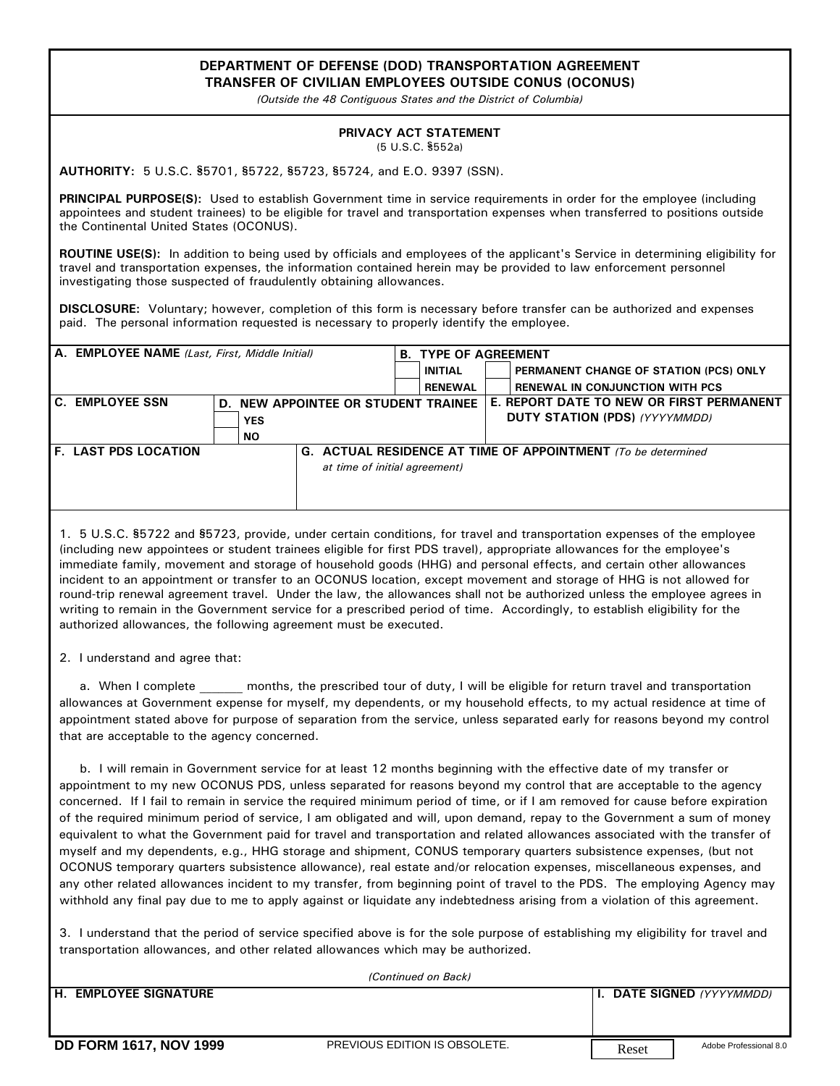## **DEPARTMENT OF DEFENSE (DOD) TRANSPORTATION AGREEMENT TRANSFER OF CIVILIAN EMPLOYEES OUTSIDE CONUS (OCONUS)**

*(Outside the 48 Contiguous States and the District of Columbia)*

## **PRIVACY ACT STATEMENT** (5 U.S.C. §552a)

AUTHORITY: 5 U.S.C. \$5701, \$5722, \$5723, \$5724, and E.O. 9397 (SSN).

**PRINCIPAL PURPOSE(S):** Used to establish Government time in service requirements in order for the employee (including appointees and student trainees) to be eligible for travel and transportation expenses when transferred to positions outside the Continental United States (OCONUS).

**ROUTINE USE(S):** In addition to being used by officials and employees of the applicant's Service in determining eligibility for travel and transportation expenses, the information contained herein may be provided to law enforcement personnel investigating those suspected of fraudulently obtaining allowances.

**DISCLOSURE:** Voluntary; however, completion of this form is necessary before transfer can be authorized and expenses paid. The personal information requested is necessary to properly identify the employee.

| A. EMPLOYEE NAME (Last, First, Middle Initial) |            |                                     | <b>B. TYPE OF AGREEMENT</b> |  |                                                              |  |
|------------------------------------------------|------------|-------------------------------------|-----------------------------|--|--------------------------------------------------------------|--|
|                                                |            |                                     | INITIAL                     |  | PERMANENT CHANGE OF STATION (PCS) ONLY                       |  |
|                                                |            |                                     | <b>RENEWAL</b>              |  | <b>RENEWAL IN CONJUNCTION WITH PCS</b>                       |  |
| C. EMPLOYEE SSN                                |            | D. NEW APPOINTEE OR STUDENT TRAINEE |                             |  | E. REPORT DATE TO NEW OR FIRST PERMANENT                     |  |
|                                                | <b>YES</b> |                                     |                             |  | <b>DUTY STATION (PDS) (YYYYMMDD)</b>                         |  |
|                                                | NO.        |                                     |                             |  |                                                              |  |
| <b>F. LAST PDS LOCATION</b>                    |            |                                     |                             |  | G. ACTUAL RESIDENCE AT TIME OF APPOINTMENT (To be determined |  |
|                                                |            | at time of initial agreement)       |                             |  |                                                              |  |
|                                                |            |                                     |                             |  |                                                              |  |
|                                                |            |                                     |                             |  |                                                              |  |

1. 5 U.S.C. §5722 and §5723, provide, under certain conditions, for travel and transportation expenses of the employee (including new appointees or student trainees eligible for first PDS travel), appropriate allowances for the employee's immediate family, movement and storage of household goods (HHG) and personal effects, and certain other allowances incident to an appointment or transfer to an OCONUS location, except movement and storage of HHG is not allowed for round-trip renewal agreement travel. Under the law, the allowances shall not be authorized unless the employee agrees in writing to remain in the Government service for a prescribed period of time. Accordingly, to establish eligibility for the authorized allowances, the following agreement must be executed.

2. I understand and agree that:

a. When I complete months, the prescribed tour of duty, I will be eligible for return travel and transportation allowances at Government expense for myself, my dependents, or my household effects, to my actual residence at time of appointment stated above for purpose of separation from the service, unless separated early for reasons beyond my control that are acceptable to the agency concerned.

 b. I will remain in Government service for at least 12 months beginning with the effective date of my transfer or appointment to my new OCONUS PDS, unless separated for reasons beyond my control that are acceptable to the agency concerned. If I fail to remain in service the required minimum period of time, or if I am removed for cause before expiration of the required minimum period of service, I am obligated and will, upon demand, repay to the Government a sum of money equivalent to what the Government paid for travel and transportation and related allowances associated with the transfer of myself and my dependents, e.g., HHG storage and shipment, CONUS temporary quarters subsistence expenses, (but not OCONUS temporary quarters subsistence allowance), real estate and/or relocation expenses, miscellaneous expenses, and any other related allowances incident to my transfer, from beginning point of travel to the PDS. The employing Agency may withhold any final pay due to me to apply against or liquidate any indebtedness arising from a violation of this agreement.

3. I understand that the period of service specified above is for the sole purpose of establishing my eligibility for travel and transportation allowances, and other related allowances which may be authorized.

| (Continued on Back)           |                               |       |                                    |  |  |  |  |
|-------------------------------|-------------------------------|-------|------------------------------------|--|--|--|--|
| <b>H. EMPLOYEE SIGNATURE</b>  |                               |       | I I. DATE SIGNED <i>(YYYYMMDD)</i> |  |  |  |  |
| <b>DD FORM 1617, NOV 1999</b> | PREVIOUS EDITION IS OBSOLETE. | Reset | Adobe Professional 8.0             |  |  |  |  |